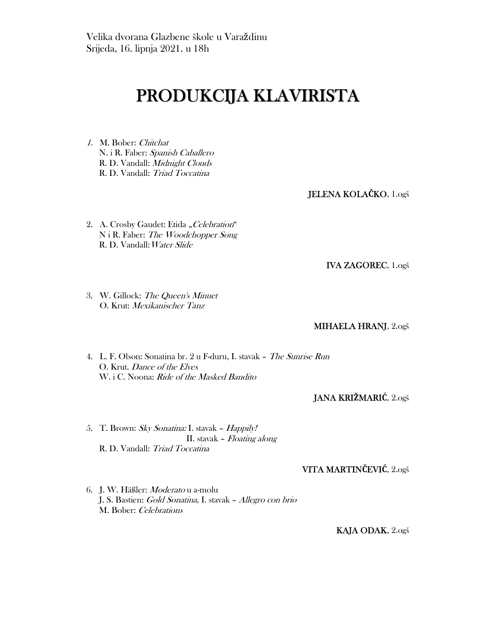# PRODUKCIJA KLAVIRISTA

1. M. Bober: Chitchat N. i R. Faber: *Spanish Caballero*<br>R. D. Vandall: *Midnight Clouds*<br>R. D. Vandall: *Triad Toccatina* 

JELENA KOLAČKO, 1.ogš

2. A. Crosby Gaudet: Etida "Celebration" N i R. Faber: The Woodchopper Song R. D. Vandall:Water Slide

IVA ZAGOREC, 1.ogš

3. W. Gillock: The Queen's Minuet O. Krut: Mexikanischer Tanz

MIHAELA HRANJ, 2.ogš

4. L. F. Olson: Sonatina br. 2 u F-duru, I. stavak – The Sunrise Run O. Krut. Dance of the Elves W. i C. Noona: Ride of the Masked Bandito

JANA KRIŽMARIĆ, 2.ogš

5. T. Brown: Sky Sonatina: I. stavak – Happily! II. stavak – Floating along R. D. Vandall: Triad Toccatina

### VITA MARTINČEVIĆ, 2.ogš

 6. J. W. Häßler: Moderato u a-molu J. S. Bastien: Gold Sonatina, I. stavak – Allegro con brio M. Bober: Celebrations

KAJA ODAK, 2.ogš